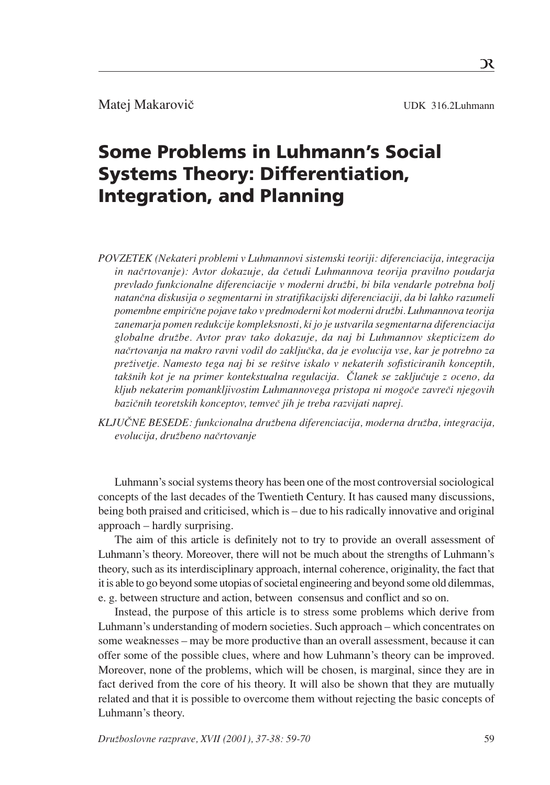Matej Makarovič UDK 316.2Luhmann

# Some Problems in Luhmann's Social Systems Theory: Differentiation, Integration, and Planning

*POVZETEK (Nekateri problemi v Luhmannovi sistemski teoriji: diferenciacija, integracija in naËrtovanje): Avtor dokazuje, da Ëetudi Luhmannova teorija pravilno poudarja prevlado funkcionalne diferenciacije v moderni druæbi, bi bila vendarle potrebna bolj natanËna diskusija o segmentarni in stratifikacijski diferenciaciji, da bi lahko razumeli pomembne empiriËne pojave tako v predmoderni kot moderni druæbi. Luhmannova teorija zanemarja pomen redukcije kompleksnosti, ki jo je ustvarila segmentarna diferenciacija globalne druæbe. Avtor prav tako dokazuje, da naj bi Luhmannov skepticizem do naËrtovanja na makro ravni vodil do zakljuËka, da je evolucija vse, kar je potrebno za* preživetje. Namesto tega naj bi se rešitve iskalo v nekaterih sofisticiranih konceptih, *takšnih kot je na primer kontekstualna regulacija. Članek se zaključuje z oceno, da kljub nekaterim pomankljivostim Luhmannovega pristopa ni mogoËe zavreËi njegovih baziËnih teoretskih konceptov, temveË jih je treba razvijati naprej.*

KLJUČNE BESEDE: funkcionalna družbena diferenciacija, moderna družba, integracija, *evolucija, druæbeno naËrtovanje*

Luhmann's social systems theory has been one of the most controversial sociological concepts of the last decades of the Twentieth Century. It has caused many discussions, being both praised and criticised, which is - due to his radically innovative and original  $approach - hardly surprising.$ 

The aim of this article is definitely not to try to provide an overall assessment of Luhmann's theory. Moreover, there will not be much about the strengths of Luhmann's theory, such as its interdisciplinary approach, internal coherence, originality, the fact that it is able to go beyond some utopias of societal engineering and beyond some old dilemmas, e. g. between structure and action, between consensus and conflict and so on.

Instead, the purpose of this article is to stress some problems which derive from Luhmann's understanding of modern societies. Such approach – which concentrates on some weaknesses – may be more productive than an overall assessment, because it can offer some of the possible clues, where and how Luhmann's theory can be improved. Moreover, none of the problems, which will be chosen, is marginal, since they are in fact derived from the core of his theory. It will also be shown that they are mutually related and that it is possible to overcome them without rejecting the basic concepts of Luhmann's theory.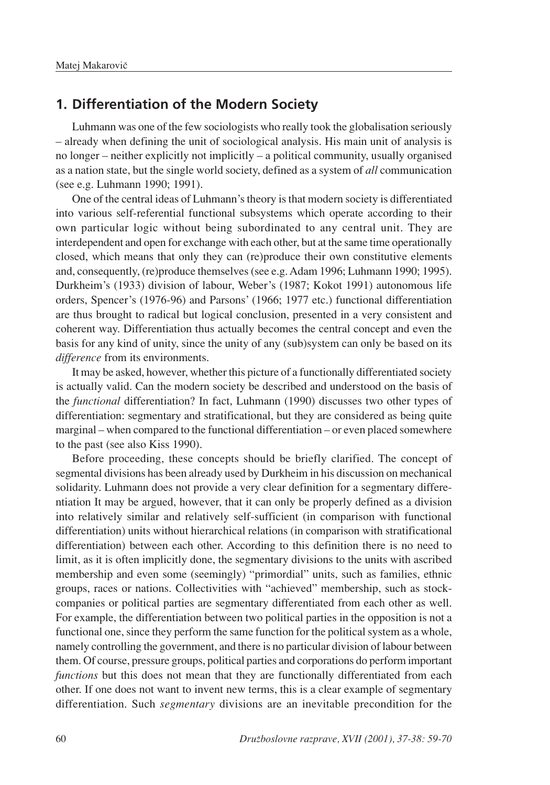#### **1. Differentiation of the Modern Society**

Luhmann was one of the few sociologists who really took the globalisation seriously  $-$  already when defining the unit of sociological analysis. His main unit of analysis is no longer  $-$  neither explicitly not implicitly  $-$  a political community, usually organised as a nation state, but the single world society, defined as a system of *all* communication (see e.g. Luhmann 1990; 1991).

One of the central ideas of Luhmann's theory is that modern society is differentiated into various self-referential functional subsystems which operate according to their own particular logic without being subordinated to any central unit. They are interdependent and open for exchange with each other, but at the same time operationally closed, which means that only they can (re)produce their own constitutive elements and, consequently, (re)produce themselves (see e.g. Adam 1996; Luhmann 1990; 1995). Durkheim's (1933) division of labour, Weber's (1987; Kokot 1991) autonomous life orders, Spencer's (1976-96) and Parsons' (1966; 1977 etc.) functional differentiation are thus brought to radical but logical conclusion, presented in a very consistent and coherent way. Differentiation thus actually becomes the central concept and even the basis for any kind of unity, since the unity of any (sub)system can only be based on its *difference* from its environments.

It may be asked, however, whether this picture of a functionally differentiated society is actually valid. Can the modern society be described and understood on the basis of the *functional* differentiation? In fact, Luhmann (1990) discusses two other types of differentiation: segmentary and stratificational, but they are considered as being quite marginal – when compared to the functional differentiation – or even placed somewhere to the past (see also Kiss 1990).

Before proceeding, these concepts should be briefly clarified. The concept of segmental divisions has been already used by Durkheim in his discussion on mechanical solidarity. Luhmann does not provide a very clear definition for a segmentary differentiation It may be argued, however, that it can only be properly defined as a division into relatively similar and relatively self-sufficient (in comparison with functional differentiation) units without hierarchical relations (in comparison with stratificational differentiation) between each other. According to this definition there is no need to limit, as it is often implicitly done, the segmentary divisions to the units with ascribed membership and even some (seemingly) "primordial" units, such as families, ethnic groups, races or nations. Collectivities with "achieved" membership, such as stockcompanies or political parties are segmentary differentiated from each other as well. For example, the differentiation between two political parties in the opposition is not a functional one, since they perform the same function for the political system as a whole, namely controlling the government, and there is no particular division of labour between them. Of course, pressure groups, political parties and corporations do perform important *functions* but this does not mean that they are functionally differentiated from each other. If one does not want to invent new terms, this is a clear example of segmentary differentiation. Such *segmentary* divisions are an inevitable precondition for the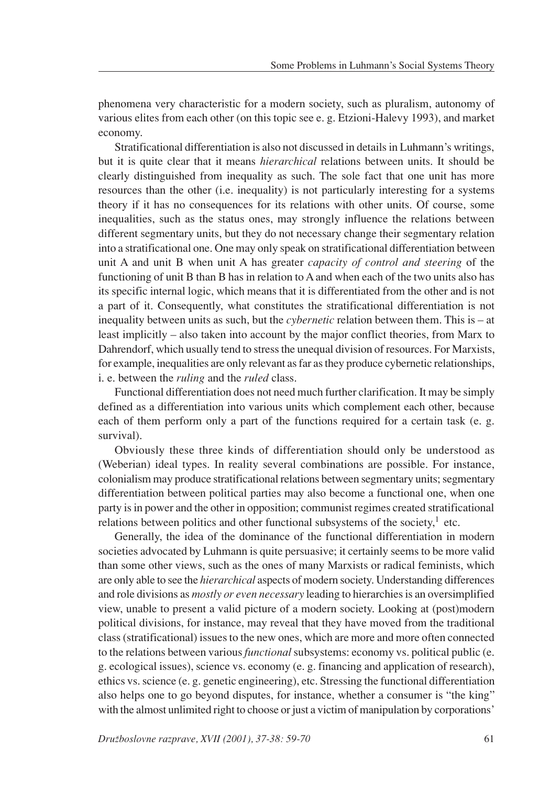phenomena very characteristic for a modern society, such as pluralism, autonomy of various elites from each other (on this topic see e. g. Etzioni-Halevy 1993), and market economy.

Stratificational differentiation is also not discussed in details in Luhmann's writings, but it is quite clear that it means *hierarchical* relations between units. It should be clearly distinguished from inequality as such. The sole fact that one unit has more resources than the other (i.e. inequality) is not particularly interesting for a systems theory if it has no consequences for its relations with other units. Of course, some inequalities, such as the status ones, may strongly influence the relations between different segmentary units, but they do not necessary change their segmentary relation into a stratificational one. One may only speak on stratificational differentiation between unit A and unit B when unit A has greater *capacity of control and steering* of the functioning of unit B than B has in relation to A and when each of the two units also has its specific internal logic, which means that it is differentiated from the other and is not a part of it. Consequently, what constitutes the stratificational differentiation is not inequality between units as such, but the *cybernetic* relation between them. This is  $-$  at least implicitly – also taken into account by the major conflict theories, from Marx to Dahrendorf, which usually tend to stress the unequal division of resources. For Marxists, for example, inequalities are only relevant as far as they produce cybernetic relationships, i. e. between the *ruling* and the *ruled* class.

Functional differentiation does not need much further clarification. It may be simply defined as a differentiation into various units which complement each other, because each of them perform only a part of the functions required for a certain task (e. g. survival).

Obviously these three kinds of differentiation should only be understood as (Weberian) ideal types. In reality several combinations are possible. For instance, colonialism may produce stratificational relations between segmentary units; segmentary differentiation between political parties may also become a functional one, when one party is in power and the other in opposition; communist regimes created stratificational relations between politics and other functional subsystems of the society, $\frac{1}{1}$  etc.

Generally, the idea of the dominance of the functional differentiation in modern societies advocated by Luhmann is quite persuasive; it certainly seems to be more valid than some other views, such as the ones of many Marxists or radical feminists, which are only able to see the *hierarchical* aspects of modern society. Understanding differences and role divisions as *mostly or even necessary* leading to hierarchies is an oversimplified view, unable to present a valid picture of a modern society. Looking at (post)modern political divisions, for instance, may reveal that they have moved from the traditional class (stratificational) issues to the new ones, which are more and more often connected to the relations between various *functional* subsystems: economy vs. political public (e. g. ecological issues), science vs. economy (e. g. financing and application of research), ethics vs. science (e. g. genetic engineering), etc. Stressing the functional differentiation also helps one to go beyond disputes, for instance, whether a consumer is "the king" with the almost unlimited right to choose or just a victim of manipulation by corporations'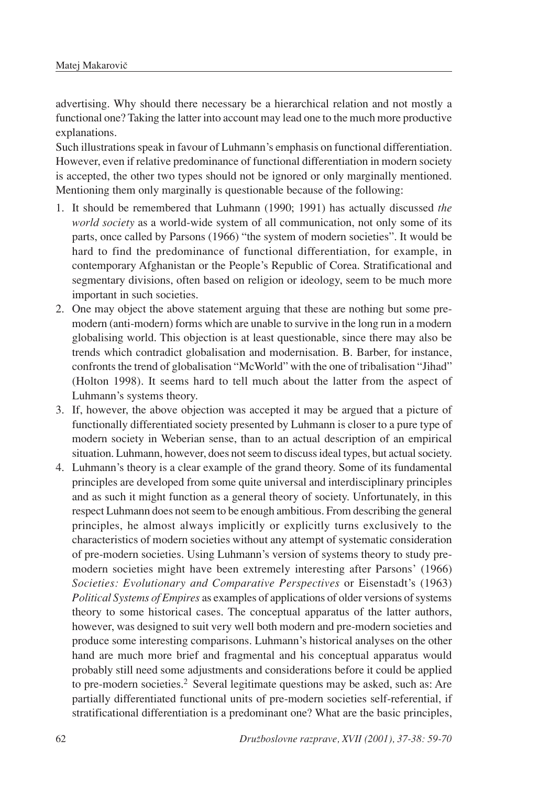advertising. Why should there necessary be a hierarchical relation and not mostly a functional one? Taking the latter into account may lead one to the much more productive explanations.

Such illustrations speak in favour of Luhmann's emphasis on functional differentiation. However, even if relative predominance of functional differentiation in modern society is accepted, the other two types should not be ignored or only marginally mentioned. Mentioning them only marginally is questionable because of the following:

- 1. It should be remembered that Luhmann (1990; 1991) has actually discussed *the world society* as a world-wide system of all communication, not only some of its parts, once called by Parsons (1966) "the system of modern societies". It would be hard to find the predominance of functional differentiation, for example, in contemporary Afghanistan or the People's Republic of Corea. Stratificational and segmentary divisions, often based on religion or ideology, seem to be much more important in such societies.
- 2. One may object the above statement arguing that these are nothing but some premodern (anti-modern) forms which are unable to survive in the long run in a modern globalising world. This objection is at least questionable, since there may also be trends which contradict globalisation and modernisation. B. Barber, for instance, confronts the trend of globalisation "McWorld" with the one of tribalisation "Jihad" (Holton 1998). It seems hard to tell much about the latter from the aspect of Luhmann's systems theory.
- 3. If, however, the above objection was accepted it may be argued that a picture of functionally differentiated society presented by Luhmann is closer to a pure type of modern society in Weberian sense, than to an actual description of an empirical situation. Luhmann, however, does not seem to discuss ideal types, but actual society.
- 4. Luhmann's theory is a clear example of the grand theory. Some of its fundamental principles are developed from some quite universal and interdisciplinary principles and as such it might function as a general theory of society. Unfortunately, in this respect Luhmann does not seem to be enough ambitious. From describing the general principles, he almost always implicitly or explicitly turns exclusively to the characteristics of modern societies without any attempt of systematic consideration of pre-modern societies. Using Luhmann's version of systems theory to study premodern societies might have been extremely interesting after Parsons' (1966) *Societies: Evolutionary and Comparative Perspectives* or Eisenstadt's (1963) *Political Systems of Empires* as examples of applications of older versions of systems theory to some historical cases. The conceptual apparatus of the latter authors, however, was designed to suit very well both modern and pre-modern societies and produce some interesting comparisons. Luhmann's historical analyses on the other hand are much more brief and fragmental and his conceptual apparatus would probably still need some adjustments and considerations before it could be applied to pre-modern societies.<sup>2</sup> Several legitimate questions may be asked, such as: Are partially differentiated functional units of pre-modern societies self-referential, if stratificational differentiation is a predominant one? What are the basic principles,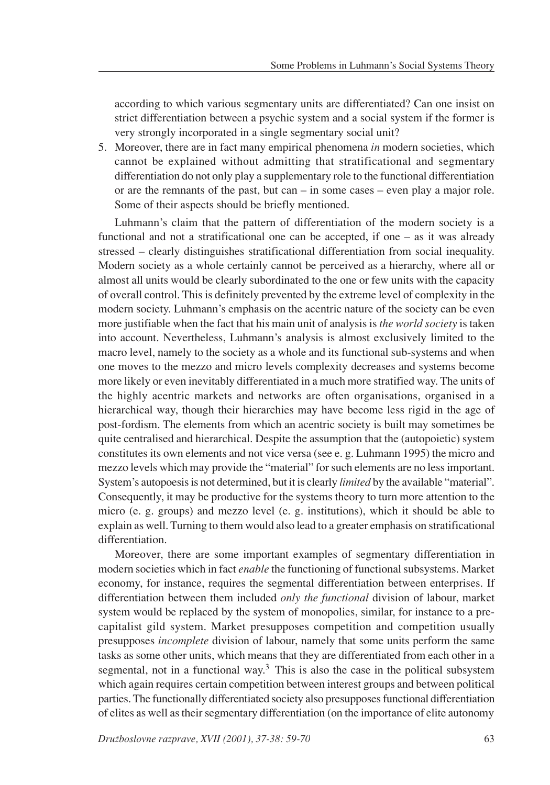according to which various segmentary units are differentiated? Can one insist on strict differentiation between a psychic system and a social system if the former is very strongly incorporated in a single segmentary social unit?

5. Moreover, there are in fact many empirical phenomena *in* modern societies, which cannot be explained without admitting that stratificational and segmentary differentiation do not only play a supplementary role to the functional differentiation or are the remnants of the past, but can  $-$  in some cases  $-$  even play a major role. Some of their aspects should be briefly mentioned.

Luhmann's claim that the pattern of differentiation of the modern society is a functional and not a stratificational one can be accepted, if one  $-$  as it was already stressed – clearly distinguishes stratificational differentiation from social inequality. Modern society as a whole certainly cannot be perceived as a hierarchy, where all or almost all units would be clearly subordinated to the one or few units with the capacity of overall control. This is definitely prevented by the extreme level of complexity in the modern society. Luhmann's emphasis on the acentric nature of the society can be even more justifiable when the fact that his main unit of analysis is *the world society* is taken into account. Nevertheless, Luhmann's analysis is almost exclusively limited to the macro level, namely to the society as a whole and its functional sub-systems and when one moves to the mezzo and micro levels complexity decreases and systems become more likely or even inevitably differentiated in a much more stratified way. The units of the highly acentric markets and networks are often organisations, organised in a hierarchical way, though their hierarchies may have become less rigid in the age of post-fordism. The elements from which an acentric society is built may sometimes be quite centralised and hierarchical. Despite the assumption that the (autopoietic) system constitutes its own elements and not vice versa (see e. g. Luhmann 1995) the micro and mezzo levels which may provide the "material" for such elements are no less important. System's autopoesis is not determined, but it is clearly *limited* by the available "material". Consequently, it may be productive for the systems theory to turn more attention to the micro (e. g. groups) and mezzo level (e. g. institutions), which it should be able to explain as well. Turning to them would also lead to a greater emphasis on stratificational differentiation.

Moreover, there are some important examples of segmentary differentiation in modern societies which in fact *enable* the functioning of functional subsystems. Market economy, for instance, requires the segmental differentiation between enterprises. If differentiation between them included *only the functional* division of labour, market system would be replaced by the system of monopolies, similar, for instance to a precapitalist gild system. Market presupposes competition and competition usually presupposes *incomplete* division of labour, namely that some units perform the same tasks as some other units, which means that they are differentiated from each other in a segmental, not in a functional way.<sup>3</sup> This is also the case in the political subsystem which again requires certain competition between interest groups and between political parties. The functionally differentiated society also presupposes functional differentiation of elites as well as their segmentary differentiation (on the importance of elite autonomy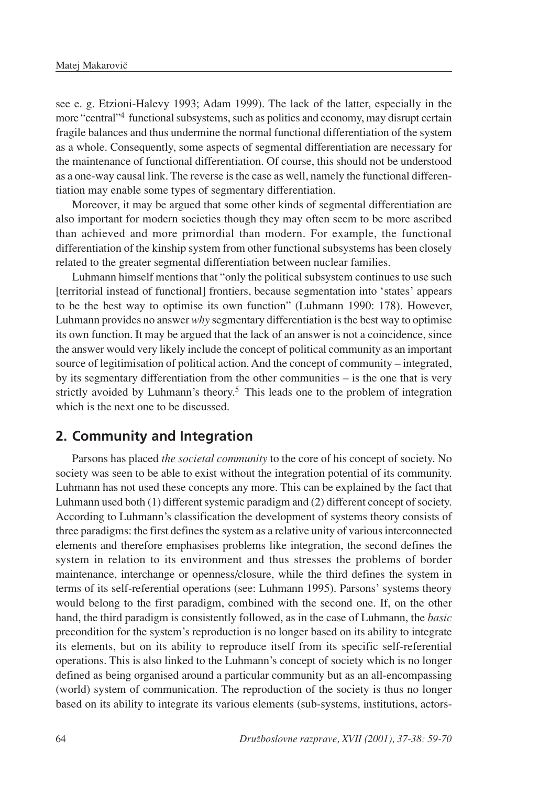see e. g. Etzioni-Halevy 1993; Adam 1999). The lack of the latter, especially in the more "central"4 functional subsystems, such as politics and economy, may disrupt certain fragile balances and thus undermine the normal functional differentiation of the system as a whole. Consequently, some aspects of segmental differentiation are necessary for the maintenance of functional differentiation. Of course, this should not be understood as a one-way causal link. The reverse is the case as well, namely the functional differentiation may enable some types of segmentary differentiation.

Moreover, it may be argued that some other kinds of segmental differentiation are also important for modern societies though they may often seem to be more ascribed than achieved and more primordial than modern. For example, the functional differentiation of the kinship system from other functional subsystems has been closely related to the greater segmental differentiation between nuclear families.

Luhmann himself mentions that "only the political subsystem continues to use such [territorial instead of functional] frontiers, because segmentation into 'states' appears to be the best way to optimise its own function" (Luhmann 1990: 178). However, Luhmann provides no answer *why* segmentary differentiation is the best way to optimise its own function. It may be argued that the lack of an answer is not a coincidence, since the answer would very likely include the concept of political community as an important source of legitimisation of political action. And the concept of community – integrated, by its segmentary differentiation from the other communities  $-\mathrm{i}\mathrm{s}$  the one that is very strictly avoided by Luhmann's theory.<sup>5</sup> This leads one to the problem of integration which is the next one to be discussed.

## **2. Community and Integration**

Parsons has placed *the societal community* to the core of his concept of society. No society was seen to be able to exist without the integration potential of its community. Luhmann has not used these concepts any more. This can be explained by the fact that Luhmann used both (1) different systemic paradigm and (2) different concept of society. According to Luhmann's classification the development of systems theory consists of three paradigms: the first defines the system as a relative unity of various interconnected elements and therefore emphasises problems like integration, the second defines the system in relation to its environment and thus stresses the problems of border maintenance, interchange or openness/closure, while the third defines the system in terms of its self-referential operations (see: Luhmann 1995). Parsons' systems theory would belong to the first paradigm, combined with the second one. If, on the other hand, the third paradigm is consistently followed, as in the case of Luhmann, the *basic* precondition for the system's reproduction is no longer based on its ability to integrate its elements, but on its ability to reproduce itself from its specific self-referential operations. This is also linked to the Luhmann's concept of society which is no longer defined as being organised around a particular community but as an all-encompassing (world) system of communication. The reproduction of the society is thus no longer based on its ability to integrate its various elements (sub-systems, institutions, actors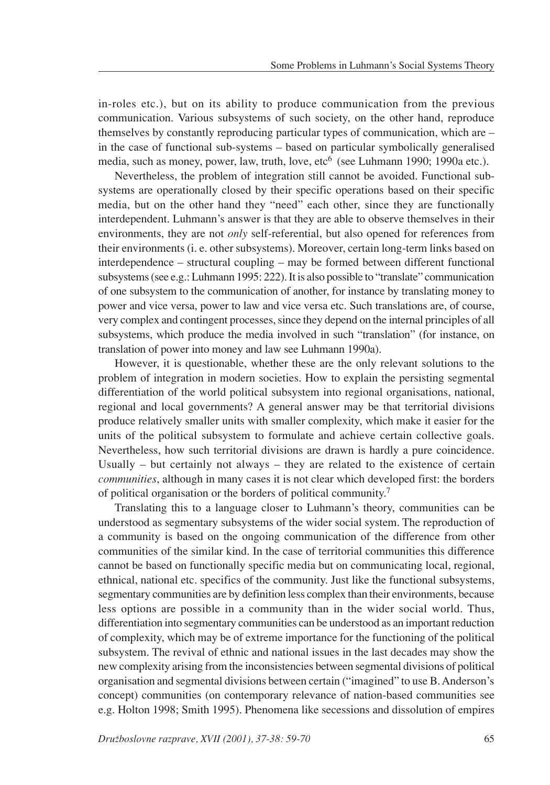in-roles etc.), but on its ability to produce communication from the previous communication. Various subsystems of such society, on the other hand, reproduce themselves by constantly reproducing particular types of communication, which are  $$ in the case of functional sub-systems – based on particular symbolically generalised media, such as money, power, law, truth, love, etc<sup>6</sup> (see Luhmann 1990; 1990a etc.).

Nevertheless, the problem of integration still cannot be avoided. Functional subsystems are operationally closed by their specific operations based on their specific media, but on the other hand they "need" each other, since they are functionally interdependent. Luhmann's answer is that they are able to observe themselves in their environments, they are not *only* self-referential, but also opened for references from their environments (i. e. other subsystems). Moreover, certain long-term links based on  $interdependence - structural coupling - may be formed between different functional$ subsystems (see e.g.: Luhmann 1995: 222). It is also possible to "translate" communication of one subsystem to the communication of another, for instance by translating money to power and vice versa, power to law and vice versa etc. Such translations are, of course, very complex and contingent processes, since they depend on the internal principles of all subsystems, which produce the media involved in such "translation" (for instance, on translation of power into money and law see Luhmann 1990a).

However, it is questionable, whether these are the only relevant solutions to the problem of integration in modern societies. How to explain the persisting segmental differentiation of the world political subsystem into regional organisations, national, regional and local governments? A general answer may be that territorial divisions produce relatively smaller units with smaller complexity, which make it easier for the units of the political subsystem to formulate and achieve certain collective goals. Nevertheless, how such territorial divisions are drawn is hardly a pure coincidence. Usually  $-$  but certainly not always  $-$  they are related to the existence of certain *communities*, although in many cases it is not clear which developed first: the borders of political organisation or the borders of political community.7

Translating this to a language closer to Luhmann's theory, communities can be understood as segmentary subsystems of the wider social system. The reproduction of a community is based on the ongoing communication of the difference from other communities of the similar kind. In the case of territorial communities this difference cannot be based on functionally specific media but on communicating local, regional, ethnical, national etc. specifics of the community. Just like the functional subsystems, segmentary communities are by definition less complex than their environments, because less options are possible in a community than in the wider social world. Thus, differentiation into segmentary communities can be understood as an important reduction of complexity, which may be of extreme importance for the functioning of the political subsystem. The revival of ethnic and national issues in the last decades may show the new complexity arising from the inconsistencies between segmental divisions of political organisation and segmental divisions between certain ("imagined" to use B. Anderson's concept) communities (on contemporary relevance of nation-based communities see e.g. Holton 1998; Smith 1995). Phenomena like secessions and dissolution of empires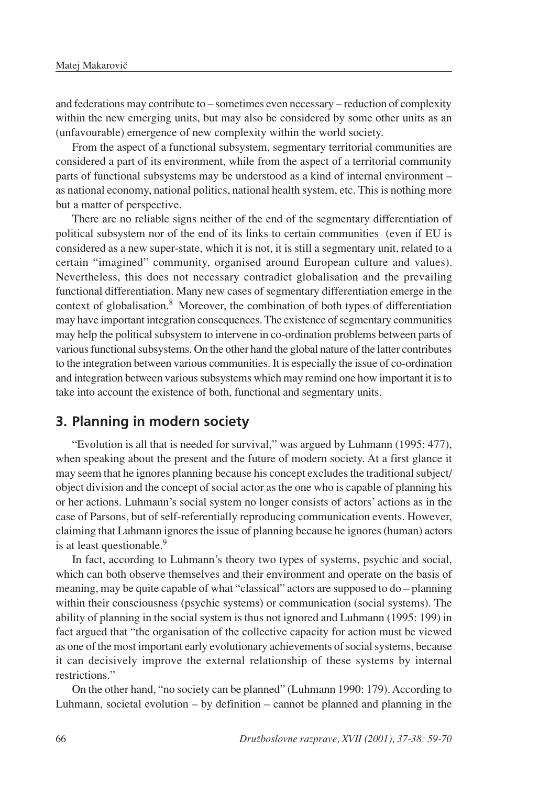and federations may contribute to  $-$  sometimes even necessary  $-$  reduction of complexity within the new emerging units, but may also be considered by some other units as an (unfavourable) emergence of new complexity within the world society.

From the aspect of a functional subsystem, segmentary territorial communities are considered a part of its environment, while from the aspect of a territorial community parts of functional subsystems may be understood as a kind of internal environment as national economy, national politics, national health system, etc. This is nothing more but a matter of perspective.

There are no reliable signs neither of the end of the segmentary differentiation of political subsystem nor of the end of its links to certain communities (even if EU is considered as a new super-state, which it is not, it is still a segmentary unit, related to a certain "imagined" community, organised around European culture and values). Nevertheless, this does not necessary contradict globalisation and the prevailing functional differentiation. Many new cases of segmentary differentiation emerge in the context of globalisation.8 Moreover, the combination of both types of differentiation may have important integration consequences. The existence of segmentary communities may help the political subsystem to intervene in co-ordination problems between parts of various functional subsystems. On the other hand the global nature of the latter contributes to the integration between various communities. It is especially the issue of co-ordination and integration between various subsystems which may remind one how important it is to take into account the existence of both, functional and segmentary units.

## **3. Planning in modern society**

"Evolution is all that is needed for survival," was argued by Luhmann (1995: 477), when speaking about the present and the future of modern society. At a first glance it may seem that he ignores planning because his concept excludes the traditional subject/ object division and the concept of social actor as the one who is capable of planning his or her actions. Luhmann's social system no longer consists of actors' actions as in the case of Parsons, but of self-referentially reproducing communication events. However, claiming that Luhmann ignores the issue of planning because he ignores (human) actors is at least questionable.<sup>9</sup>

In fact, according to Luhmann's theory two types of systems, psychic and social, which can both observe themselves and their environment and operate on the basis of meaning, may be quite capable of what "classical" actors are supposed to do – planning within their consciousness (psychic systems) or communication (social systems). The ability of planning in the social system is thus not ignored and Luhmann (1995: 199) in fact argued that "the organisation of the collective capacity for action must be viewed as one of the most important early evolutionary achievements of social systems, because it can decisively improve the external relationship of these systems by internal restrictions."

On the other hand, "no society can be planned" (Luhmann 1990: 179). According to Luhmann, societal evolution  $-$  by definition  $-$  cannot be planned and planning in the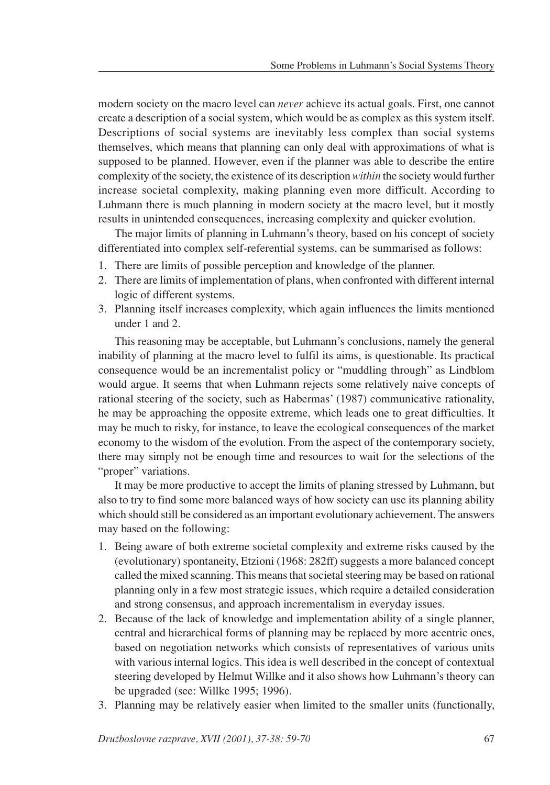modern society on the macro level can *never* achieve its actual goals. First, one cannot create a description of a social system, which would be as complex as this system itself. Descriptions of social systems are inevitably less complex than social systems themselves, which means that planning can only deal with approximations of what is supposed to be planned. However, even if the planner was able to describe the entire complexity of the society, the existence of its description *within* the society would further increase societal complexity, making planning even more difficult. According to Luhmann there is much planning in modern society at the macro level, but it mostly results in unintended consequences, increasing complexity and quicker evolution.

The major limits of planning in Luhmann's theory, based on his concept of society differentiated into complex self-referential systems, can be summarised as follows:

- 1. There are limits of possible perception and knowledge of the planner.
- 2. There are limits of implementation of plans, when confronted with different internal logic of different systems.
- 3. Planning itself increases complexity, which again influences the limits mentioned under 1 and 2.

This reasoning may be acceptable, but Luhmann's conclusions, namely the general inability of planning at the macro level to fulfil its aims, is questionable. Its practical consequence would be an incrementalist policy or "muddling through" as Lindblom would argue. It seems that when Luhmann rejects some relatively naive concepts of rational steering of the society, such as Habermas' (1987) communicative rationality, he may be approaching the opposite extreme, which leads one to great difficulties. It may be much to risky, for instance, to leave the ecological consequences of the market economy to the wisdom of the evolution. From the aspect of the contemporary society, there may simply not be enough time and resources to wait for the selections of the "proper" variations.

It may be more productive to accept the limits of planing stressed by Luhmann, but also to try to find some more balanced ways of how society can use its planning ability which should still be considered as an important evolutionary achievement. The answers may based on the following:

- 1. Being aware of both extreme societal complexity and extreme risks caused by the (evolutionary) spontaneity, Etzioni (1968: 282ff) suggests a more balanced concept called the mixed scanning. This means that societal steering may be based on rational planning only in a few most strategic issues, which require a detailed consideration and strong consensus, and approach incrementalism in everyday issues.
- 2. Because of the lack of knowledge and implementation ability of a single planner, central and hierarchical forms of planning may be replaced by more acentric ones, based on negotiation networks which consists of representatives of various units with various internal logics. This idea is well described in the concept of contextual steering developed by Helmut Willke and it also shows how Luhmann's theory can be upgraded (see: Willke 1995; 1996).
- 3. Planning may be relatively easier when limited to the smaller units (functionally,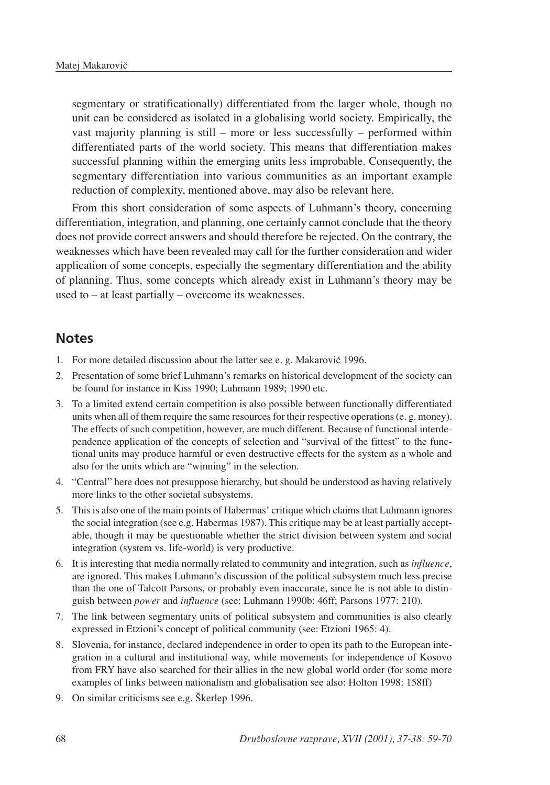segmentary or stratificationally) differentiated from the larger whole, though no unit can be considered as isolated in a globalising world society. Empirically, the vast majority planning is still  $-$  more or less successfully  $-$  performed within differentiated parts of the world society. This means that differentiation makes successful planning within the emerging units less improbable. Consequently, the segmentary differentiation into various communities as an important example reduction of complexity, mentioned above, may also be relevant here.

From this short consideration of some aspects of Luhmann's theory, concerning differentiation, integration, and planning, one certainly cannot conclude that the theory does not provide correct answers and should therefore be rejected. On the contrary, the weaknesses which have been revealed may call for the further consideration and wider application of some concepts, especially the segmentary differentiation and the ability of planning. Thus, some concepts which already exist in Luhmann's theory may be used to  $-$  at least partially  $-$  overcome its weaknesses.

#### **Notes**

- 1. For more detailed discussion about the latter see e. g. Makarovič 1996.
- 2. Presentation of some brief Luhmann's remarks on historical development of the society can be found for instance in Kiss 1990; Luhmann 1989; 1990 etc.
- 3. To a limited extend certain competition is also possible between functionally differentiated units when all of them require the same resources for their respective operations (e. g. money). The effects of such competition, however, are much different. Because of functional interdependence application of the concepts of selection and "survival of the fittest" to the functional units may produce harmful or even destructive effects for the system as a whole and also for the units which are "winning" in the selection.
- 4. "Central" here does not presuppose hierarchy, but should be understood as having relatively more links to the other societal subsystems.
- 5. This is also one of the main points of Habermas' critique which claims that Luhmann ignores the social integration (see e.g. Habermas 1987). This critique may be at least partially acceptable, though it may be questionable whether the strict division between system and social integration (system vs. life-world) is very productive.
- 6. It is interesting that media normally related to community and integration, such as *influence*, are ignored. This makes Luhmann's discussion of the political subsystem much less precise than the one of Talcott Parsons, or probably even inaccurate, since he is not able to distinguish between *power* and *influence* (see: Luhmann 1990b: 46ff; Parsons 1977: 210).
- 7. The link between segmentary units of political subsystem and communities is also clearly expressed in Etzioni's concept of political community (see: Etzioni 1965: 4).
- 8. Slovenia, for instance, declared independence in order to open its path to the European integration in a cultural and institutional way, while movements for independence of Kosovo from FRY have also searched for their allies in the new global world order (for some more examples of links between nationalism and globalisation see also: Holton 1998: 158ff)
- 9. On similar criticisms see e.g. Škerlep 1996.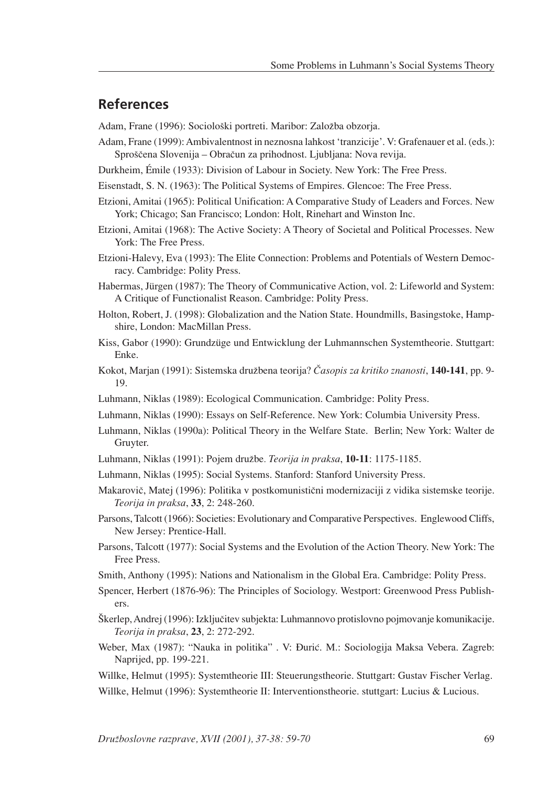### **References**

Adam, Frane (1996): Sociološki portreti. Maribor: Založba obzorja.

- Adam, Frane (1999): Ambivalentnost in neznosna lahkost 'tranzicije'. V: Grafenauer et al. (eds.): Sproščena Slovenija – Obračun za prihodnost. Ljubljana: Nova revija.
- Durkheim, Émile (1933): Division of Labour in Society. New York: The Free Press.
- Eisenstadt, S. N. (1963): The Political Systems of Empires. Glencoe: The Free Press.
- Etzioni, Amitai (1965): Political Unification: A Comparative Study of Leaders and Forces. New York; Chicago; San Francisco; London: Holt, Rinehart and Winston Inc.
- Etzioni, Amitai (1968): The Active Society: A Theory of Societal and Political Processes. New York: The Free Press.
- Etzioni-Halevy, Eva (1993): The Elite Connection: Problems and Potentials of Western Democracy. Cambridge: Polity Press.
- Habermas, Jürgen (1987): The Theory of Communicative Action, vol. 2: Lifeworld and System: A Critique of Functionalist Reason. Cambridge: Polity Press.
- Holton, Robert, J. (1998): Globalization and the Nation State. Houndmills, Basingstoke, Hampshire, London: MacMillan Press.
- Kiss, Gabor (1990): Grundzüge und Entwicklung der Luhmannschen Systemtheorie. Stuttgart: Enke.
- Kokot, Marjan (1991): Sistemska družbena teorija? Časopis za kritiko znanosti, **140-141**, pp. 9-19.
- Luhmann, Niklas (1989): Ecological Communication. Cambridge: Polity Press.
- Luhmann, Niklas (1990): Essays on Self-Reference. New York: Columbia University Press.
- Luhmann, Niklas (1990a): Political Theory in the Welfare State. Berlin; New York: Walter de Gruyter.
- Luhmann, Niklas (1991): Pojem druæbe*. Teorija in praksa*, **10-11**: 1175-1185.
- Luhmann, Niklas (1995): Social Systems. Stanford: Stanford University Press.
- Makarovič, Matej (1996): Politika v postkomunistični modernizaciji z vidika sistemske teorije. *Teorija in praksa*, **33**, 2: 248-260.
- Parsons, Talcott (1966): Societies: Evolutionary and Comparative Perspectives. Englewood Cliffs, New Jersey: Prentice-Hall.
- Parsons, Talcott (1977): Social Systems and the Evolution of the Action Theory. New York: The Free Press.
- Smith, Anthony (1995): Nations and Nationalism in the Global Era. Cambridge: Polity Press.
- Spencer, Herbert (1876-96): The Principles of Sociology. Westport: Greenwood Press Publishers.
- Škerlep, Andrej (1996): Izključitev subjekta: Luhmannovo protislovno pojmovanje komunikacije. *Teorija in praksa*, **23**, 2: 272-292.
- Weber, Max (1987): "Nauka in politika" . V: Đurić. M.: Sociologija Maksa Vebera. Zagreb: Naprijed, pp. 199-221.
- Willke, Helmut (1995): Systemtheorie III: Steuerungstheorie. Stuttgart: Gustav Fischer Verlag.
- Willke, Helmut (1996): Systemtheorie II: Interventionstheorie. stuttgart: Lucius & Lucious.